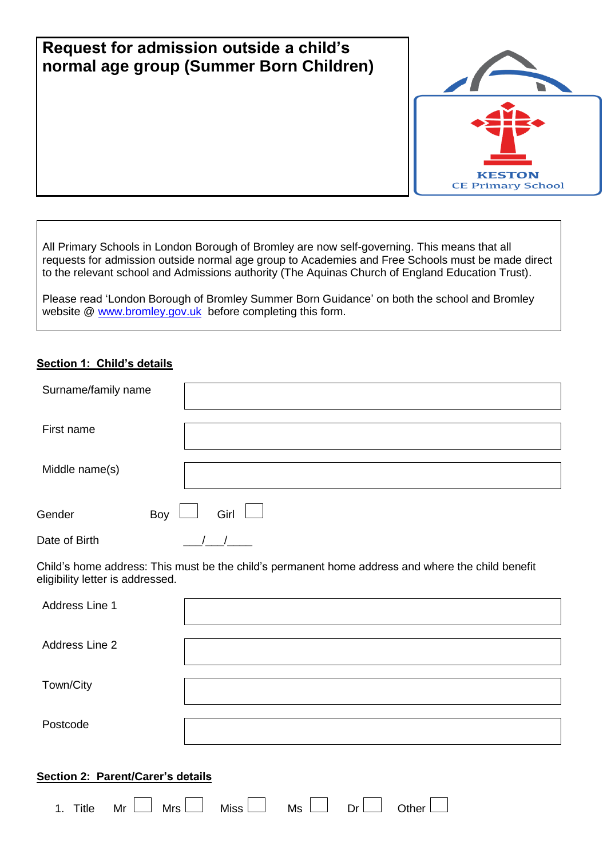| Request for admission outside a child's<br>normal age group (Summer Born Children) |                                           |
|------------------------------------------------------------------------------------|-------------------------------------------|
|                                                                                    | <b>KESTON</b><br><b>CE Primary School</b> |

All Primary Schools in London Borough of Bromley are now self-governing. This means that all requests for admission outside normal age group to Academies and Free Schools must be made direct to the relevant school and Admissions authority (The Aquinas Church of England Education Trust).

Please read 'London Borough of Bromley Summer Born Guidance' on both the school and Bromley website @ [www.bromley.gov.uk](http://www.bromley.gov.uk/) before completing this form.

## **Section 1: Child's details**

| Surname/family name |                                                                                                   |
|---------------------|---------------------------------------------------------------------------------------------------|
| First name          |                                                                                                   |
| Middle name(s)      |                                                                                                   |
| Boy<br>Gender       | Girl                                                                                              |
| Date of Birth       |                                                                                                   |
|                     | Child's home address: This must he the child's nermanent home address and where the child henefit |

i must be the child´s permanent home address and where the child ben eligibility letter is addressed.

| Address Line 1                    |             |    |    |       |  |
|-----------------------------------|-------------|----|----|-------|--|
| Address Line 2                    |             |    |    |       |  |
| Town/City                         |             |    |    |       |  |
| Postcode                          |             |    |    |       |  |
| Section 2: Parent/Carer's details |             |    |    |       |  |
| Mr<br>Mrs<br>Title<br>1.          | <b>Miss</b> | Ms | Dr | Other |  |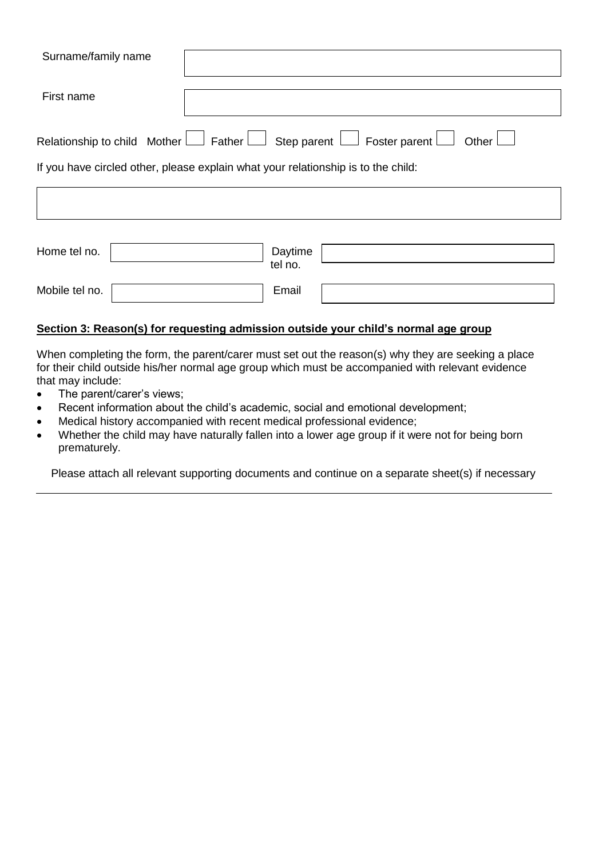| Surname/family name                                                                                       |  |  |  |
|-----------------------------------------------------------------------------------------------------------|--|--|--|
| First name                                                                                                |  |  |  |
| Relationship to child Mother $\Box$ Father $\Box$ Step parent $\Box$ Foster parent $\Box$<br>Other $\Box$ |  |  |  |
| If you have circled other, please explain what your relationship is to the child:                         |  |  |  |
|                                                                                                           |  |  |  |
|                                                                                                           |  |  |  |

| Home tel no.   | Daytime<br>tel no. |  |
|----------------|--------------------|--|
| Mobile tel no. | Email              |  |

## **Section 3: Reason(s) for requesting admission outside your child's normal age group**

When completing the form, the parent/carer must set out the reason(s) why they are seeking a place for their child outside his/her normal age group which must be accompanied with relevant evidence that may include:

- The parent/carer's views;
- Recent information about the child's academic, social and emotional development;
- Medical history accompanied with recent medical professional evidence;
- Whether the child may have naturally fallen into a lower age group if it were not for being born prematurely.

Please attach all relevant supporting documents and continue on a separate sheet(s) if necessary